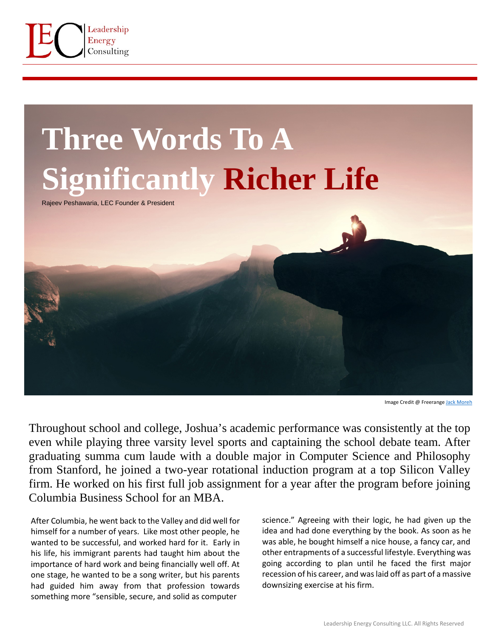



Image Credit @ Freerange [Jack Moreh](https://freerangestock.com/photos/141096/dawn-over-yosemite--new-beginning--man-contemplating-sunrise-o.html)

Throughout school and college, Joshua's academic performance was consistently at the top even while playing three varsity level sports and captaining the school debate team. After graduating summa cum laude with a double major in Computer Science and Philosophy from Stanford, he joined a two-year rotational induction program at a top Silicon Valley firm. He worked on his first full job assignment for a year after the program before joining Columbia Business School for an MBA.

After Columbia, he went back to the Valley and did well for himself for a number of years. Like most other people, he wanted to be successful, and worked hard for it. Early in his life, his immigrant parents had taught him about the importance of hard work and being financially well off. At one stage, he wanted to be a song writer, but his parents had guided him away from that profession towards something more "sensible, secure, and solid as computer

science." Agreeing with their logic, he had given up the idea and had done everything by the book. As soon as he was able, he bought himself a nice house, a fancy car, and other entrapments of a successful lifestyle. Everything was going according to plan until he faced the first major recession of his career, and was laid off as part of a massive downsizing exercise at his firm.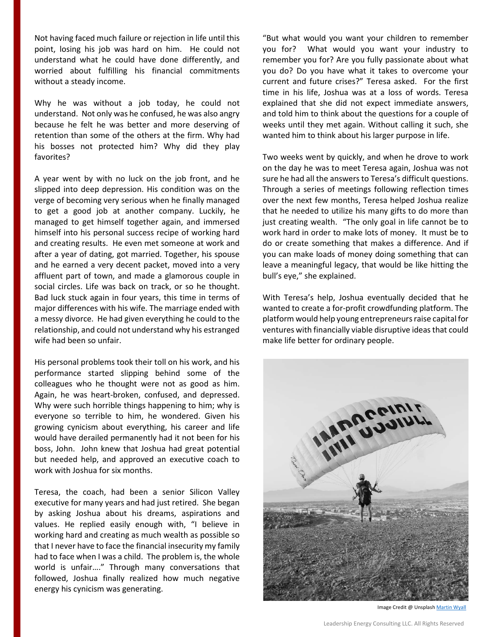Not having faced much failure or rejection in life until this point, losing his job was hard on him. He could not understand what he could have done differently, and worried about fulfilling his financial commitments without a steady income.

Why he was without a job today, he could not understand. Not only was he confused, he was also angry because he felt he was better and more deserving of retention than some of the others at the firm. Why had his bosses not protected him? Why did they play favorites?

A year went by with no luck on the job front, and he slipped into deep depression. His condition was on the verge of becoming very serious when he finally managed to get a good job at another company. Luckily, he managed to get himself together again, and immersed himself into his personal success recipe of working hard and creating results. He even met someone at work and after a year of dating, got married. Together, his spouse and he earned a very decent packet, moved into a very affluent part of town, and made a glamorous couple in social circles. Life was back on track, or so he thought. Bad luck stuck again in four years, this time in terms of major differences with his wife. The marriage ended with a messy divorce. He had given everything he could to the relationship, and could not understand why his estranged wife had been so unfair.

His personal problems took their toll on his work, and his performance started slipping behind some of the colleagues who he thought were not as good as him. Again, he was heart-broken, confused, and depressed. Why were such horrible things happening to him; why is everyone so terrible to him, he wondered. Given his growing cynicism about everything, his career and life would have derailed permanently had it not been for his boss, John. John knew that Joshua had great potential but needed help, and approved an executive coach to work with Joshua for six months.

Teresa, the coach, had been a senior Silicon Valley executive for many years and had just retired. She began by asking Joshua about his dreams, aspirations and values. He replied easily enough with, "I believe in working hard and creating as much wealth as possible so that I never have to face the financial insecurity my family had to face when I was a child. The problem is, the whole world is unfair…." Through many conversations that followed, Joshua finally realized how much negative energy his cynicism was generating.

"But what would you want your children to remember you for? What would you want your industry to remember you for? Are you fully passionate about what you do? Do you have what it takes to overcome your current and future crises?" Teresa asked. For the first time in his life, Joshua was at a loss of words. Teresa explained that she did not expect immediate answers, and told him to think about the questions for a couple of weeks until they met again. Without calling it such, she wanted him to think about his larger purpose in life.

Two weeks went by quickly, and when he drove to work on the day he was to meet Teresa again, Joshua was not sure he had all the answers to Teresa's difficult questions. Through a series of meetings following reflection times over the next few months, Teresa helped Joshua realize that he needed to utilize his many gifts to do more than just creating wealth. "The only goal in life cannot be to work hard in order to make lots of money. It must be to do or create something that makes a difference. And if you can make loads of money doing something that can leave a meaningful legacy, that would be like hitting the bull's eye," she explained.

With Teresa's help, Joshua eventually decided that he wanted to create a for-profit crowdfunding platform. The platform would help young entrepreneurs raise capital for ventures with financially viable disruptive ideas that could make life better for ordinary people.



Image Credit @ Unsplash [Martin Wyall](https://unsplash.com/photos/neWpnSy6pSI)